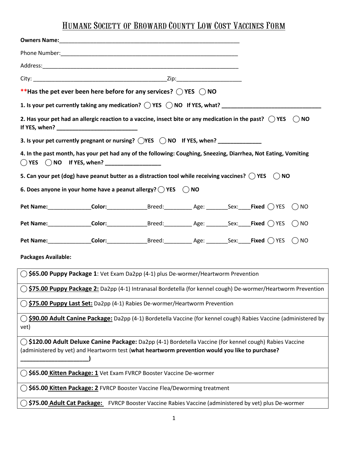## Humane Society of Broward County Low Cost Vaccines Form

|                                                                                                                 | **Has the pet ever been here before for any services? $\bigcirc$ YES $\bigcirc$ NO                                                                                                                           |  |  |  |  |               |  |
|-----------------------------------------------------------------------------------------------------------------|--------------------------------------------------------------------------------------------------------------------------------------------------------------------------------------------------------------|--|--|--|--|---------------|--|
|                                                                                                                 |                                                                                                                                                                                                              |  |  |  |  |               |  |
|                                                                                                                 | 2. Has your pet had an allergic reaction to a vaccine, insect bite or any medication in the past? $\bigcirc$ YES                                                                                             |  |  |  |  | $\bigcirc$ NO |  |
|                                                                                                                 | 3. Is your pet currently pregnant or nursing? $\bigcirc$ YES $\bigcirc$ NO if YES, when? ______________                                                                                                      |  |  |  |  |               |  |
| 4. In the past month, has your pet had any of the following: Coughing, Sneezing, Diarrhea, Not Eating, Vomiting |                                                                                                                                                                                                              |  |  |  |  |               |  |
|                                                                                                                 | 5. Can your pet (dog) have peanut butter as a distraction tool while receiving vaccines? $\bigcirc$ YES $\bigcirc$ NO                                                                                        |  |  |  |  |               |  |
|                                                                                                                 | 6. Does anyone in your home have a peanut allergy? $\bigcirc$ YES $\bigcirc$ NO                                                                                                                              |  |  |  |  |               |  |
|                                                                                                                 | Pet Name: Color: Color: Breed: Age: Sex: Fixed OYES ONO                                                                                                                                                      |  |  |  |  |               |  |
|                                                                                                                 | Pet Name: ________________Color: __________________Breed: _______________Age: _________Sex: ____Fixed $\bigcirc$ YES $\bigcirc$ NO                                                                           |  |  |  |  |               |  |
|                                                                                                                 | Pet Name: _______________Color: ___________________Breed: ______________Age: _________Sex: _____Fixed $\bigcirc$ YES $\bigcirc$ NO                                                                           |  |  |  |  |               |  |
| <b>Packages Available:</b>                                                                                      |                                                                                                                                                                                                              |  |  |  |  |               |  |
| ○ \$65.00 Puppy Package 1: Vet Exam Da2pp (4-1) plus De-wormer/Heartworm Prevention                             |                                                                                                                                                                                                              |  |  |  |  |               |  |
| \$75.00 Puppy Package 2: Da2pp (4-1) Intranasal Bordetella (for kennel cough) De-wormer/Heartworm Prevention    |                                                                                                                                                                                                              |  |  |  |  |               |  |
| \$75.00 Puppy Last Set: Da2pp (4-1) Rabies De-wormer/Heartworm Prevention                                       |                                                                                                                                                                                                              |  |  |  |  |               |  |
| vet)                                                                                                            | \$90.00 Adult Canine Package: Da2pp (4-1) Bordetella Vaccine (for kennel cough) Rabies Vaccine (administered by                                                                                              |  |  |  |  |               |  |
|                                                                                                                 | () \$120.00 Adult Deluxe Canine Package: Da2pp (4-1) Bordetella Vaccine (for kennel cough) Rabies Vaccine<br>(administered by vet) and Heartworm test (what heartworm prevention would you like to purchase? |  |  |  |  |               |  |
| \$65.00 Kitten Package: 1 Vet Exam FVRCP Booster Vaccine De-wormer                                              |                                                                                                                                                                                                              |  |  |  |  |               |  |
| \$65.00 Kitten Package: 2 FVRCP Booster Vaccine Flea/Deworming treatment                                        |                                                                                                                                                                                                              |  |  |  |  |               |  |
| \$75.00 Adult Cat Package: FVRCP Booster Vaccine Rabies Vaccine (administered by vet) plus De-wormer            |                                                                                                                                                                                                              |  |  |  |  |               |  |
|                                                                                                                 |                                                                                                                                                                                                              |  |  |  |  |               |  |